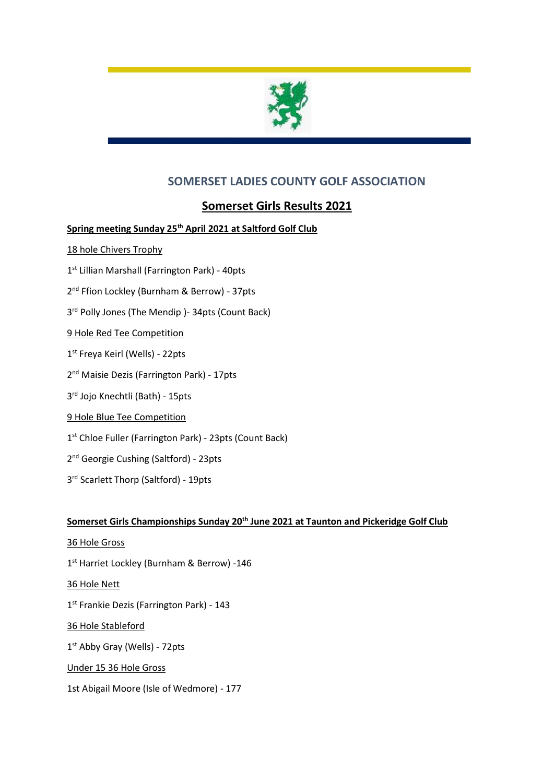

# **SOMERSET LADIES COUNTY GOLF ASSOCIATION**

## **Somerset Girls Results 2021**

### **Spring meeting Sunday 25th April 2021 at Saltford Golf Club**

- 18 hole Chivers Trophy
- 1 st Lillian Marshall (Farrington Park) 40pts
- 2<sup>nd</sup> Ffion Lockley (Burnham & Berrow) 37pts
- 3 rd Polly Jones (The Mendip )- 34pts (Count Back)
- 9 Hole Red Tee Competition
- 1 st Freya Keirl (Wells) 22pts
- 2 nd Maisie Dezis (Farrington Park) 17pts
- 3 rd Jojo Knechtli (Bath) 15pts
- 9 Hole Blue Tee Competition
- 1 st Chloe Fuller (Farrington Park) 23pts (Count Back)
- 2<sup>nd</sup> Georgie Cushing (Saltford) 23pts
- 3<sup>rd</sup> Scarlett Thorp (Saltford) 19pts

#### **Somerset Girls Championships Sunday 20th June 2021 at Taunton and Pickeridge Golf Club**

- 36 Hole Gross
- 1<sup>st</sup> Harriet Lockley (Burnham & Berrow) -146
- 36 Hole Nett
- 1<sup>st</sup> Frankie Dezis (Farrington Park) 143
- 36 Hole Stableford
- 1<sup>st</sup> Abby Gray (Wells) 72pts
- Under 15 36 Hole Gross
- 1st Abigail Moore (Isle of Wedmore) 177